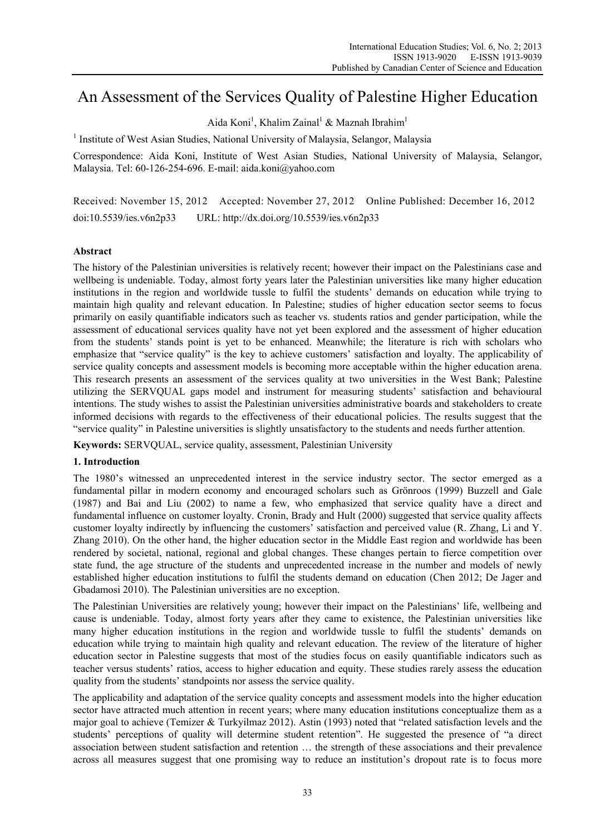# An Assessment of the Services Quality of Palestine Higher Education

Aida Koni<sup>1</sup>, Khalim Zainal<sup>1</sup> & Maznah Ibrahim<sup>1</sup>

<sup>1</sup> Institute of West Asian Studies, National University of Malaysia, Selangor, Malaysia

Correspondence: Aida Koni, Institute of West Asian Studies, National University of Malaysia, Selangor, Malaysia. Tel: 60-126-254-696. E-mail: aida.koni@yahoo.com

Received: November 15, 2012 Accepted: November 27, 2012 Online Published: December 16, 2012 doi:10.5539/ies.v6n2p33 URL: http://dx.doi.org/10.5539/ies.v6n2p33

## **Abstract**

The history of the Palestinian universities is relatively recent; however their impact on the Palestinians case and wellbeing is undeniable. Today, almost forty years later the Palestinian universities like many higher education institutions in the region and worldwide tussle to fulfil the students' demands on education while trying to maintain high quality and relevant education. In Palestine; studies of higher education sector seems to focus primarily on easily quantifiable indicators such as teacher vs. students ratios and gender participation, while the assessment of educational services quality have not yet been explored and the assessment of higher education from the students' stands point is yet to be enhanced. Meanwhile; the literature is rich with scholars who emphasize that "service quality" is the key to achieve customers' satisfaction and loyalty. The applicability of service quality concepts and assessment models is becoming more acceptable within the higher education arena. This research presents an assessment of the services quality at two universities in the West Bank; Palestine utilizing the SERVQUAL gaps model and instrument for measuring students' satisfaction and behavioural intentions. The study wishes to assist the Palestinian universities administrative boards and stakeholders to create informed decisions with regards to the effectiveness of their educational policies. The results suggest that the "service quality" in Palestine universities is slightly unsatisfactory to the students and needs further attention.

**Keywords:** SERVQUAL, service quality, assessment, Palestinian University

## **1. Introduction**

The 1980's witnessed an unprecedented interest in the service industry sector. The sector emerged as a fundamental pillar in modern economy and encouraged scholars such as Grönroos (1999) Buzzell and Gale (1987) and Bai and Liu (2002) to name a few, who emphasized that service quality have a direct and fundamental influence on customer loyalty. Cronin, Brady and Hult (2000) suggested that service quality affects customer loyalty indirectly by influencing the customers' satisfaction and perceived value (R. Zhang, Li and Y. Zhang 2010). On the other hand, the higher education sector in the Middle East region and worldwide has been rendered by societal, national, regional and global changes. These changes pertain to fierce competition over state fund, the age structure of the students and unprecedented increase in the number and models of newly established higher education institutions to fulfil the students demand on education (Chen 2012; De Jager and Gbadamosi 2010). The Palestinian universities are no exception.

The Palestinian Universities are relatively young; however their impact on the Palestinians' life, wellbeing and cause is undeniable. Today, almost forty years after they came to existence, the Palestinian universities like many higher education institutions in the region and worldwide tussle to fulfil the students' demands on education while trying to maintain high quality and relevant education. The review of the literature of higher education sector in Palestine suggests that most of the studies focus on easily quantifiable indicators such as teacher versus students' ratios, access to higher education and equity. These studies rarely assess the education quality from the students' standpoints nor assess the service quality.

The applicability and adaptation of the service quality concepts and assessment models into the higher education sector have attracted much attention in recent years; where many education institutions conceptualize them as a major goal to achieve (Temizer & Turkyilmaz 2012). Astin (1993) noted that "related satisfaction levels and the students' perceptions of quality will determine student retention". He suggested the presence of "a direct association between student satisfaction and retention … the strength of these associations and their prevalence across all measures suggest that one promising way to reduce an institution's dropout rate is to focus more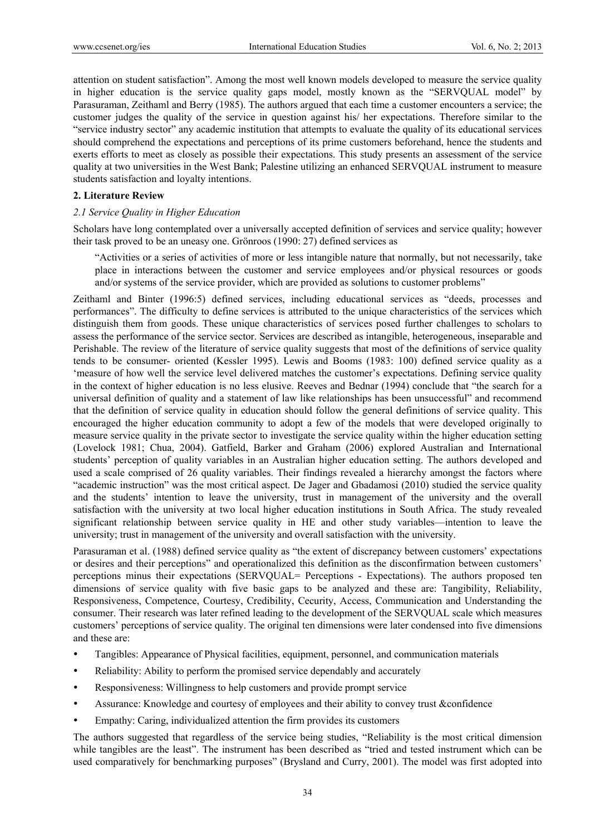attention on student satisfaction". Among the most well known models developed to measure the service quality in higher education is the service quality gaps model, mostly known as the "SERVQUAL model" by Parasuraman, Zeithaml and Berry (1985). The authors argued that each time a customer encounters a service; the customer judges the quality of the service in question against his/ her expectations. Therefore similar to the "service industry sector" any academic institution that attempts to evaluate the quality of its educational services should comprehend the expectations and perceptions of its prime customers beforehand, hence the students and exerts efforts to meet as closely as possible their expectations. This study presents an assessment of the service quality at two universities in the West Bank; Palestine utilizing an enhanced SERVQUAL instrument to measure students satisfaction and loyalty intentions.

## **2. Literature Review**

## *2.1 Service Quality in Higher Education*

Scholars have long contemplated over a universally accepted definition of services and service quality; however their task proved to be an uneasy one. Grönroos (1990: 27) defined services as

"Activities or a series of activities of more or less intangible nature that normally, but not necessarily, take place in interactions between the customer and service employees and/or physical resources or goods and/or systems of the service provider, which are provided as solutions to customer problems"

Zeithaml and Binter (1996:5) defined services, including educational services as "deeds, processes and performances". The difficulty to define services is attributed to the unique characteristics of the services which distinguish them from goods. These unique characteristics of services posed further challenges to scholars to assess the performance of the service sector. Services are described as intangible, heterogeneous, inseparable and Perishable. The review of the literature of service quality suggests that most of the definitions of service quality tends to be consumer- oriented (Kessler 1995). Lewis and Booms (1983: 100) defined service quality as a 'measure of how well the service level delivered matches the customer's expectations. Defining service quality in the context of higher education is no less elusive. Reeves and Bednar (1994) conclude that "the search for a universal definition of quality and a statement of law like relationships has been unsuccessful" and recommend that the definition of service quality in education should follow the general definitions of service quality. This encouraged the higher education community to adopt a few of the models that were developed originally to measure service quality in the private sector to investigate the service quality within the higher education setting (Lovelock 1981; Chua, 2004). Gatfield, Barker and Graham (2006) explored Australian and International students' perception of quality variables in an Australian higher education setting. The authors developed and used a scale comprised of 26 quality variables. Their findings revealed a hierarchy amongst the factors where "academic instruction" was the most critical aspect. De Jager and Gbadamosi (2010) studied the service quality and the students' intention to leave the university, trust in management of the university and the overall satisfaction with the university at two local higher education institutions in South Africa. The study revealed significant relationship between service quality in HE and other study variables—intention to leave the university; trust in management of the university and overall satisfaction with the university.

Parasuraman et al. (1988) defined service quality as "the extent of discrepancy between customers' expectations or desires and their perceptions" and operationalized this definition as the disconfirmation between customers' perceptions minus their expectations (SERVQUAL= Perceptions - Expectations). The authors proposed ten dimensions of service quality with five basic gaps to be analyzed and these are: Tangibility, Reliability, Responsiveness, Competence, Courtesy, Credibility, Cecurity, Access, Communication and Understanding the consumer. Their research was later refined leading to the development of the SERVQUAL scale which measures customers' perceptions of service quality. The original ten dimensions were later condensed into five dimensions and these are:

- Tangibles: Appearance of Physical facilities, equipment, personnel, and communication materials
- Reliability: Ability to perform the promised service dependably and accurately
- Responsiveness: Willingness to help customers and provide prompt service
- Assurance: Knowledge and courtesy of employees and their ability to convey trust &confidence
- Empathy: Caring, individualized attention the firm provides its customers

The authors suggested that regardless of the service being studies, "Reliability is the most critical dimension while tangibles are the least". The instrument has been described as "tried and tested instrument which can be used comparatively for benchmarking purposes" (Brysland and Curry, 2001). The model was first adopted into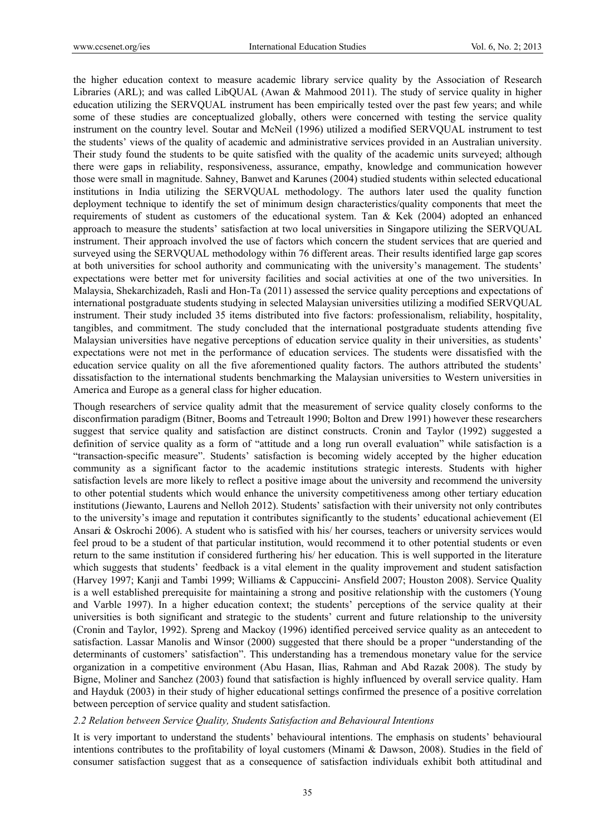the higher education context to measure academic library service quality by the Association of Research Libraries (ARL); and was called LibQUAL (Awan & Mahmood 2011). The study of service quality in higher education utilizing the SERVQUAL instrument has been empirically tested over the past few years; and while some of these studies are conceptualized globally, others were concerned with testing the service quality instrument on the country level. Soutar and McNeil (1996) utilized a modified SERVQUAL instrument to test the students' views of the quality of academic and administrative services provided in an Australian university. Their study found the students to be quite satisfied with the quality of the academic units surveyed; although there were gaps in reliability, responsiveness, assurance, empathy, knowledge and communication however those were small in magnitude. Sahney, Banwet and Karunes (2004) studied students within selected educational institutions in India utilizing the SERVQUAL methodology. The authors later used the quality function deployment technique to identify the set of minimum design characteristics/quality components that meet the requirements of student as customers of the educational system. Tan & Kek (2004) adopted an enhanced approach to measure the students' satisfaction at two local universities in Singapore utilizing the SERVQUAL instrument. Their approach involved the use of factors which concern the student services that are queried and surveyed using the SERVQUAL methodology within 76 different areas. Their results identified large gap scores at both universities for school authority and communicating with the university's management. The students' expectations were better met for university facilities and social activities at one of the two universities. In Malaysia, Shekarchizadeh, Rasli and Hon-Ta (2011) assessed the service quality perceptions and expectations of international postgraduate students studying in selected Malaysian universities utilizing a modified SERVQUAL instrument. Their study included 35 items distributed into five factors: professionalism, reliability, hospitality, tangibles, and commitment. The study concluded that the international postgraduate students attending five Malaysian universities have negative perceptions of education service quality in their universities, as students' expectations were not met in the performance of education services. The students were dissatisfied with the education service quality on all the five aforementioned quality factors. The authors attributed the students' dissatisfaction to the international students benchmarking the Malaysian universities to Western universities in America and Europe as a general class for higher education.

Though researchers of service quality admit that the measurement of service quality closely conforms to the disconfirmation paradigm (Bitner, Booms and Tetreault 1990; Bolton and Drew 1991) however these researchers suggest that service quality and satisfaction are distinct constructs. Cronin and Taylor (1992) suggested a definition of service quality as a form of "attitude and a long run overall evaluation" while satisfaction is a "transaction-specific measure". Students' satisfaction is becoming widely accepted by the higher education community as a significant factor to the academic institutions strategic interests. Students with higher satisfaction levels are more likely to reflect a positive image about the university and recommend the university to other potential students which would enhance the university competitiveness among other tertiary education institutions (Jiewanto, Laurens and Nelloh 2012). Students' satisfaction with their university not only contributes to the university's image and reputation it contributes significantly to the students' educational achievement (El Ansari & Oskrochi 2006). A student who is satisfied with his/ her courses, teachers or university services would feel proud to be a student of that particular institution, would recommend it to other potential students or even return to the same institution if considered furthering his/ her education. This is well supported in the literature which suggests that students' feedback is a vital element in the quality improvement and student satisfaction (Harvey 1997; Kanji and Tambi 1999; Williams & Cappuccini- Ansfield 2007; Houston 2008). Service Quality is a well established prerequisite for maintaining a strong and positive relationship with the customers (Young and Varble 1997). In a higher education context; the students' perceptions of the service quality at their universities is both significant and strategic to the students' current and future relationship to the university (Cronin and Taylor, 1992). Spreng and Mackoy (1996) identified perceived service quality as an antecedent to satisfaction. Lassar Manolis and Winsor (2000) suggested that there should be a proper "understanding of the determinants of customers' satisfaction". This understanding has a tremendous monetary value for the service organization in a competitive environment (Abu Hasan, Ilias, Rahman and Abd Razak 2008). The study by Bigne, Moliner and Sanchez (2003) found that satisfaction is highly influenced by overall service quality. Ham and Hayduk (2003) in their study of higher educational settings confirmed the presence of a positive correlation between perception of service quality and student satisfaction.

#### *2.2 Relation between Service Quality, Students Satisfaction and Behavioural Intentions*

It is very important to understand the students' behavioural intentions. The emphasis on students' behavioural intentions contributes to the profitability of loyal customers (Minami & Dawson, 2008). Studies in the field of consumer satisfaction suggest that as a consequence of satisfaction individuals exhibit both attitudinal and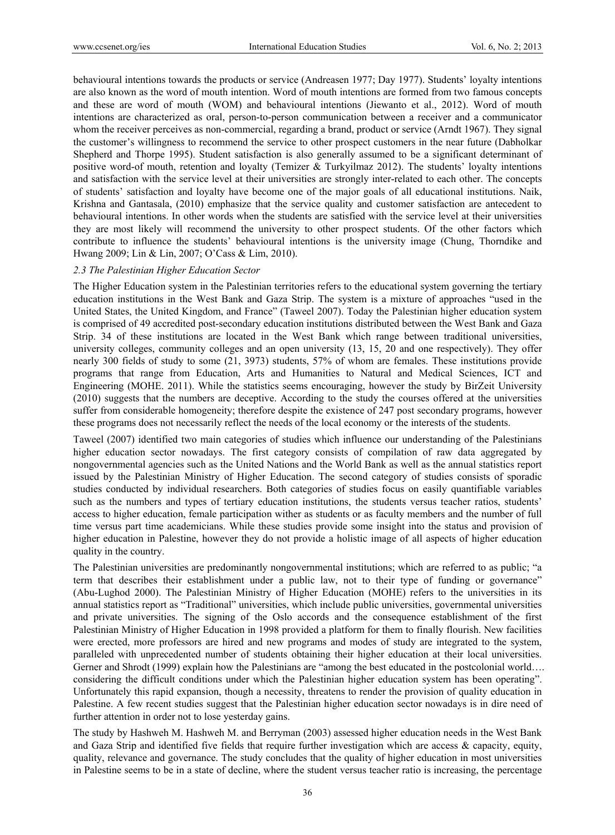behavioural intentions towards the products or service (Andreasen 1977; Day 1977). Students' loyalty intentions are also known as the word of mouth intention. Word of mouth intentions are formed from two famous concepts and these are word of mouth (WOM) and behavioural intentions (Jiewanto et al., 2012). Word of mouth intentions are characterized as oral, person-to-person communication between a receiver and a communicator whom the receiver perceives as non-commercial, regarding a brand, product or service (Arndt 1967). They signal the customer's willingness to recommend the service to other prospect customers in the near future (Dabholkar Shepherd and Thorpe 1995). Student satisfaction is also generally assumed to be a significant determinant of positive word-of mouth, retention and loyalty (Temizer & Turkyilmaz 2012). The students' loyalty intentions and satisfaction with the service level at their universities are strongly inter-related to each other. The concepts of students' satisfaction and loyalty have become one of the major goals of all educational institutions. Naik, Krishna and Gantasala, (2010) emphasize that the service quality and customer satisfaction are antecedent to behavioural intentions. In other words when the students are satisfied with the service level at their universities they are most likely will recommend the university to other prospect students. Of the other factors which contribute to influence the students' behavioural intentions is the university image (Chung, Thorndike and Hwang 2009; Lin & Lin, 2007; O'Cass & Lim, 2010).

#### *2.3 The Palestinian Higher Education Sector*

The Higher Education system in the Palestinian territories refers to the educational system governing the tertiary education institutions in the West Bank and Gaza Strip. The system is a mixture of approaches "used in the United States, the United Kingdom, and France" (Taweel 2007). Today the Palestinian higher education system is comprised of 49 accredited post-secondary education institutions distributed between the West Bank and Gaza Strip. 34 of these institutions are located in the West Bank which range between traditional universities, university colleges, community colleges and an open university (13, 15, 20 and one respectively). They offer nearly 300 fields of study to some (21, 3973) students, 57% of whom are females. These institutions provide programs that range from Education, Arts and Humanities to Natural and Medical Sciences, ICT and Engineering (MOHE. 2011). While the statistics seems encouraging, however the study by BirZeit University (2010) suggests that the numbers are deceptive. According to the study the courses offered at the universities suffer from considerable homogeneity; therefore despite the existence of 247 post secondary programs, however these programs does not necessarily reflect the needs of the local economy or the interests of the students.

Taweel (2007) identified two main categories of studies which influence our understanding of the Palestinians higher education sector nowadays. The first category consists of compilation of raw data aggregated by nongovernmental agencies such as the United Nations and the World Bank as well as the annual statistics report issued by the Palestinian Ministry of Higher Education. The second category of studies consists of sporadic studies conducted by individual researchers. Both categories of studies focus on easily quantifiable variables such as the numbers and types of tertiary education institutions, the students versus teacher ratios, students' access to higher education, female participation wither as students or as faculty members and the number of full time versus part time academicians. While these studies provide some insight into the status and provision of higher education in Palestine, however they do not provide a holistic image of all aspects of higher education quality in the country.

The Palestinian universities are predominantly nongovernmental institutions; which are referred to as public; "a term that describes their establishment under a public law, not to their type of funding or governance" (Abu-Lughod 2000). The Palestinian Ministry of Higher Education (MOHE) refers to the universities in its annual statistics report as "Traditional" universities, which include public universities, governmental universities and private universities. The signing of the Oslo accords and the consequence establishment of the first Palestinian Ministry of Higher Education in 1998 provided a platform for them to finally flourish. New facilities were erected, more professors are hired and new programs and modes of study are integrated to the system, paralleled with unprecedented number of students obtaining their higher education at their local universities. Gerner and Shrodt (1999) explain how the Palestinians are "among the best educated in the postcolonial world…. considering the difficult conditions under which the Palestinian higher education system has been operating". Unfortunately this rapid expansion, though a necessity, threatens to render the provision of quality education in Palestine. A few recent studies suggest that the Palestinian higher education sector nowadays is in dire need of further attention in order not to lose yesterday gains.

The study by Hashweh M. Hashweh M. and Berryman (2003) assessed higher education needs in the West Bank and Gaza Strip and identified five fields that require further investigation which are access & capacity, equity, quality, relevance and governance. The study concludes that the quality of higher education in most universities in Palestine seems to be in a state of decline, where the student versus teacher ratio is increasing, the percentage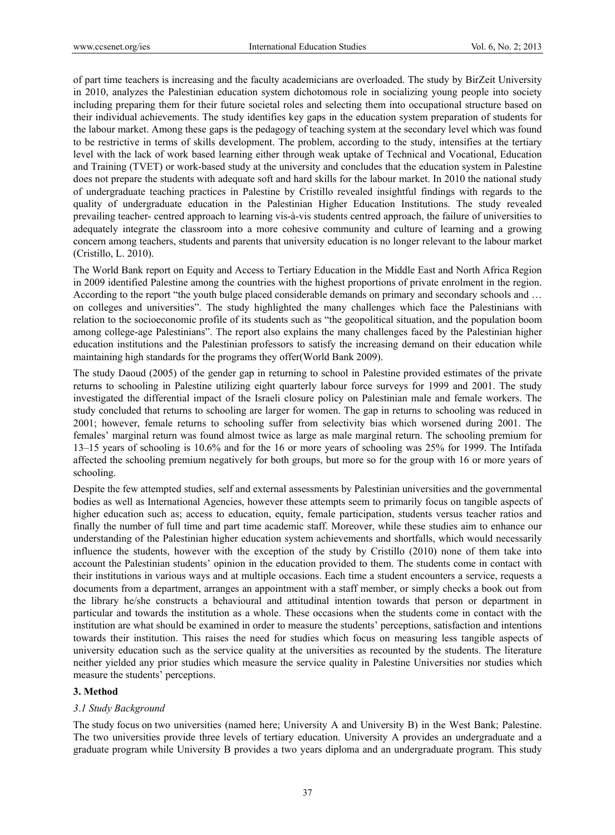of part time teachers is increasing and the faculty academicians are overloaded. The study by BirZeit University in 2010, analyzes the Palestinian education system dichotomous role in socializing young people into society including preparing them for their future societal roles and selecting them into occupational structure based on their individual achievements. The study identifies key gaps in the education system preparation of students for the labour market. Among these gaps is the pedagogy of teaching system at the secondary level which was found to be restrictive in terms of skills development. The problem, according to the study, intensifies at the tertiary level with the lack of work based learning either through weak uptake of Technical and Vocational, Education and Training (TVET) or work-based study at the university and concludes that the education system in Palestine does not prepare the students with adequate soft and hard skills for the labour market. In 2010 the national study of undergraduate teaching practices in Palestine by Cristillo revealed insightful findings with regards to the quality of undergraduate education in the Palestinian Higher Education Institutions. The study revealed prevailing teacher- centred approach to learning vis-à-vis students centred approach, the failure of universities to adequately integrate the classroom into a more cohesive community and culture of learning and a growing concern among teachers, students and parents that university education is no longer relevant to the labour market (Cristillo, L. 2010).

The World Bank report on Equity and Access to Tertiary Education in the Middle East and North Africa Region in 2009 identified Palestine among the countries with the highest proportions of private enrolment in the region. According to the report "the youth bulge placed considerable demands on primary and secondary schools and … on colleges and universities". The study highlighted the many challenges which face the Palestinians with relation to the socioeconomic profile of its students such as "the geopolitical situation, and the population boom among college-age Palestinians". The report also explains the many challenges faced by the Palestinian higher education institutions and the Palestinian professors to satisfy the increasing demand on their education while maintaining high standards for the programs they offer(World Bank 2009).

The study Daoud (2005) of the gender gap in returning to school in Palestine provided estimates of the private returns to schooling in Palestine utilizing eight quarterly labour force surveys for 1999 and 2001. The study investigated the differential impact of the Israeli closure policy on Palestinian male and female workers. The study concluded that returns to schooling are larger for women. The gap in returns to schooling was reduced in 2001; however, female returns to schooling suffer from selectivity bias which worsened during 2001. The females' marginal return was found almost twice as large as male marginal return. The schooling premium for 13–15 years of schooling is 10.6% and for the 16 or more years of schooling was 25% for 1999. The Intifada affected the schooling premium negatively for both groups, but more so for the group with 16 or more years of schooling.

Despite the few attempted studies, self and external assessments by Palestinian universities and the governmental bodies as well as International Agencies, however these attempts seem to primarily focus on tangible aspects of higher education such as; access to education, equity, female participation, students versus teacher ratios and finally the number of full time and part time academic staff. Moreover, while these studies aim to enhance our understanding of the Palestinian higher education system achievements and shortfalls, which would necessarily influence the students, however with the exception of the study by Cristillo (2010) none of them take into account the Palestinian students' opinion in the education provided to them. The students come in contact with their institutions in various ways and at multiple occasions. Each time a student encounters a service, requests a documents from a department, arranges an appointment with a staff member, or simply checks a book out from the library he/she constructs a behavioural and attitudinal intention towards that person or department in particular and towards the institution as a whole. These occasions when the students come in contact with the institution are what should be examined in order to measure the students' perceptions, satisfaction and intentions towards their institution. This raises the need for studies which focus on measuring less tangible aspects of university education such as the service quality at the universities as recounted by the students. The literature neither yielded any prior studies which measure the service quality in Palestine Universities nor studies which measure the students' perceptions.

## **3. Method**

## *3*.*1 Study Background*

The study focus on two universities (named here; University A and University B) in the West Bank; Palestine. The two universities provide three levels of tertiary education. University A provides an undergraduate and a graduate program while University B provides a two years diploma and an undergraduate program. This study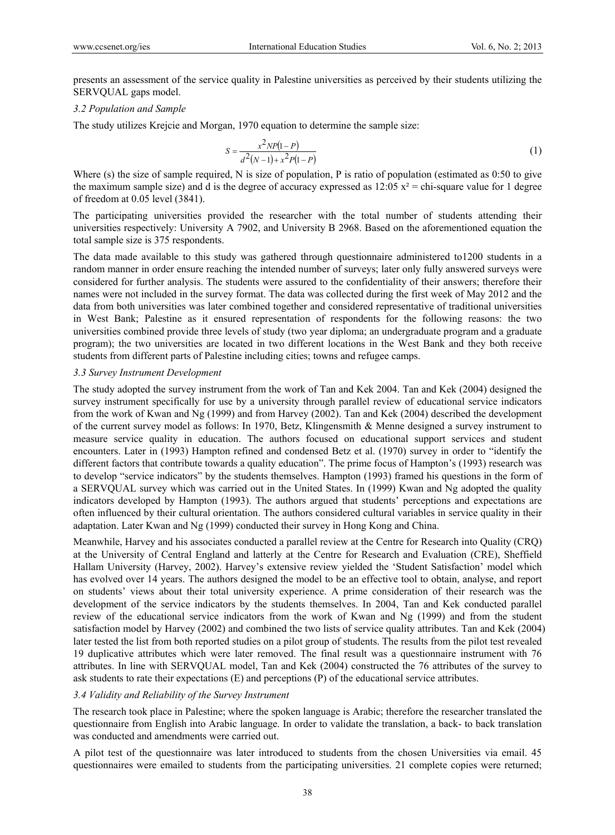presents an assessment of the service quality in Palestine universities as perceived by their students utilizing the SERVQUAL gaps model.

## *3.2 Population and Sample*

The study utilizes Krejcie and Morgan, 1970 equation to determine the sample size:

$$
S = \frac{x^2 NP(1 - P)}{d^2 (N - 1) + x^2 P(1 - P)}
$$
(1)

Where (s) the size of sample required, N is size of population, P is ratio of population (estimated as 0:50 to give the maximum sample size) and d is the degree of accuracy expressed as  $12:05 \text{ x}^2 = \text{chi-square value}$  for 1 degree of freedom at 0.05 level (3841).

The participating universities provided the researcher with the total number of students attending their universities respectively: University A 7902, and University B 2968. Based on the aforementioned equation the total sample size is 375 respondents.

The data made available to this study was gathered through questionnaire administered to1200 students in a random manner in order ensure reaching the intended number of surveys; later only fully answered surveys were considered for further analysis. The students were assured to the confidentiality of their answers; therefore their names were not included in the survey format. The data was collected during the first week of May 2012 and the data from both universities was later combined together and considered representative of traditional universities in West Bank; Palestine as it ensured representation of respondents for the following reasons: the two universities combined provide three levels of study (two year diploma; an undergraduate program and a graduate program); the two universities are located in two different locations in the West Bank and they both receive students from different parts of Palestine including cities; towns and refugee camps.

#### *3.3 Survey Instrument Development*

The study adopted the survey instrument from the work of Tan and Kek 2004. Tan and Kek (2004) designed the survey instrument specifically for use by a university through parallel review of educational service indicators from the work of Kwan and Ng (1999) and from Harvey (2002). Tan and Kek (2004) described the development of the current survey model as follows: In 1970, Betz, Klingensmith & Menne designed a survey instrument to measure service quality in education. The authors focused on educational support services and student encounters. Later in (1993) Hampton refined and condensed Betz et al. (1970) survey in order to "identify the different factors that contribute towards a quality education". The prime focus of Hampton's (1993) research was to develop "service indicators" by the students themselves. Hampton (1993) framed his questions in the form of a SERVQUAL survey which was carried out in the United States. In (1999) Kwan and Ng adopted the quality indicators developed by Hampton (1993). The authors argued that students' perceptions and expectations are often influenced by their cultural orientation. The authors considered cultural variables in service quality in their adaptation. Later Kwan and Ng (1999) conducted their survey in Hong Kong and China.

Meanwhile, Harvey and his associates conducted a parallel review at the Centre for Research into Quality (CRQ) at the University of Central England and latterly at the Centre for Research and Evaluation (CRE), Sheffield Hallam University (Harvey, 2002). Harvey's extensive review yielded the 'Student Satisfaction' model which has evolved over 14 years. The authors designed the model to be an effective tool to obtain, analyse, and report on students' views about their total university experience. A prime consideration of their research was the development of the service indicators by the students themselves. In 2004, Tan and Kek conducted parallel review of the educational service indicators from the work of Kwan and Ng (1999) and from the student satisfaction model by Harvey (2002) and combined the two lists of service quality attributes. Tan and Kek (2004) later tested the list from both reported studies on a pilot group of students. The results from the pilot test revealed 19 duplicative attributes which were later removed. The final result was a questionnaire instrument with 76 attributes. In line with SERVQUAL model, Tan and Kek (2004) constructed the 76 attributes of the survey to ask students to rate their expectations (E) and perceptions (P) of the educational service attributes.

#### *3.4 Validity and Reliability of the Survey Instrument*

The research took place in Palestine; where the spoken language is Arabic; therefore the researcher translated the questionnaire from English into Arabic language. In order to validate the translation, a back- to back translation was conducted and amendments were carried out.

A pilot test of the questionnaire was later introduced to students from the chosen Universities via email. 45 questionnaires were emailed to students from the participating universities. 21 complete copies were returned;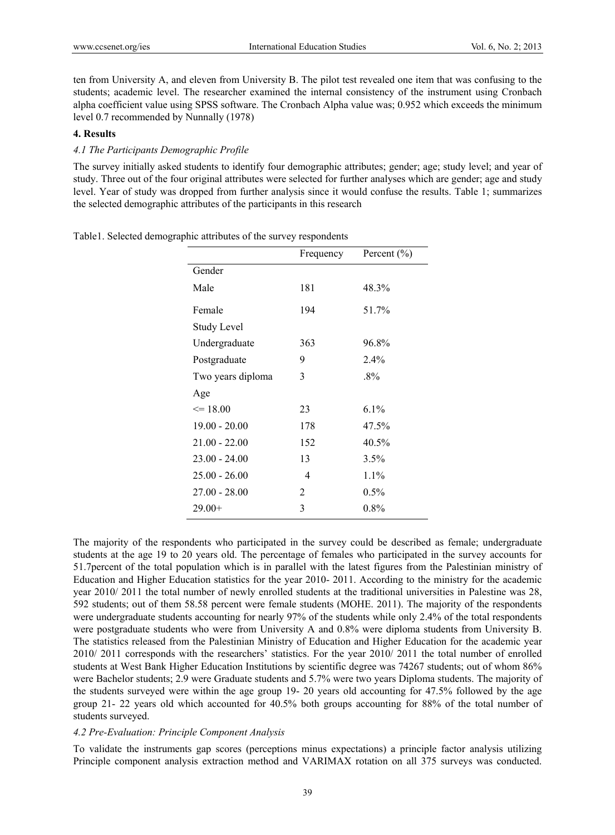ten from University A, and eleven from University B. The pilot test revealed one item that was confusing to the students; academic level. The researcher examined the internal consistency of the instrument using Cronbach alpha coefficient value using SPSS software. The Cronbach Alpha value was; 0.952 which exceeds the minimum level 0.7 recommended by Nunnally (1978)

## **4. Results**

## *4.1 The Participants Demographic Profile*

The survey initially asked students to identify four demographic attributes; gender; age; study level; and year of study. Three out of the four original attributes were selected for further analyses which are gender; age and study level. Year of study was dropped from further analysis since it would confuse the results. Table 1; summarizes the selected demographic attributes of the participants in this research

|                   | Frequency | Percent $(\% )$ |
|-------------------|-----------|-----------------|
| Gender            |           |                 |
| Male              | 181       | 48.3%           |
| Female            | 194       | 51.7%           |
| Study Level       |           |                 |
| Undergraduate     | 363       | 96.8%           |
| Postgraduate      | 9         | $2.4\%$         |
| Two years diploma | 3         | $.8\%$          |
| Age               |           |                 |
| $\leq$ 18.00      | 23        | $6.1\%$         |
| $19.00 - 20.00$   | 178       | 47.5%           |
| $21.00 - 22.00$   | 152       | 40.5%           |
| $23.00 - 24.00$   | 13        | 3.5%            |
| $25.00 - 26.00$   | 4         | 1.1%            |
| $27.00 - 28.00$   | 2         | $0.5\%$         |
| $29.00+$          | 3         | $0.8\%$         |

Table1. Selected demographic attributes of the survey respondents

The majority of the respondents who participated in the survey could be described as female; undergraduate students at the age 19 to 20 years old. The percentage of females who participated in the survey accounts for 51.7percent of the total population which is in parallel with the latest figures from the Palestinian ministry of Education and Higher Education statistics for the year 2010- 2011. According to the ministry for the academic year 2010/ 2011 the total number of newly enrolled students at the traditional universities in Palestine was 28, 592 students; out of them 58.58 percent were female students (MOHE. 2011). The majority of the respondents were undergraduate students accounting for nearly 97% of the students while only 2.4% of the total respondents were postgraduate students who were from University A and 0.8% were diploma students from University B. The statistics released from the Palestinian Ministry of Education and Higher Education for the academic year 2010/ 2011 corresponds with the researchers' statistics. For the year 2010/ 2011 the total number of enrolled students at West Bank Higher Education Institutions by scientific degree was 74267 students; out of whom 86% were Bachelor students; 2.9 were Graduate students and 5.7% were two years Diploma students. The majority of the students surveyed were within the age group 19- 20 years old accounting for 47.5% followed by the age group 21- 22 years old which accounted for 40.5% both groups accounting for 88% of the total number of students surveyed.

#### *4.2 Pre-Evaluation: Principle Component Analysis*

To validate the instruments gap scores (perceptions minus expectations) a principle factor analysis utilizing Principle component analysis extraction method and VARIMAX rotation on all 375 surveys was conducted.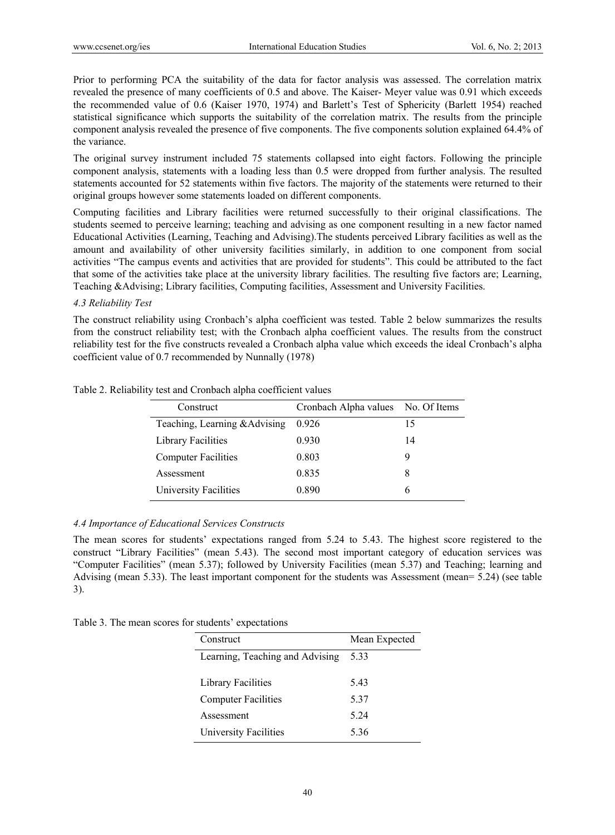Prior to performing PCA the suitability of the data for factor analysis was assessed. The correlation matrix revealed the presence of many coefficients of 0.5 and above. The Kaiser- Meyer value was 0.91 which exceeds the recommended value of 0.6 (Kaiser 1970, 1974) and Barlett's Test of Sphericity (Barlett 1954) reached statistical significance which supports the suitability of the correlation matrix. The results from the principle component analysis revealed the presence of five components. The five components solution explained 64.4% of the variance.

The original survey instrument included 75 statements collapsed into eight factors. Following the principle component analysis, statements with a loading less than 0.5 were dropped from further analysis. The resulted statements accounted for 52 statements within five factors. The majority of the statements were returned to their original groups however some statements loaded on different components.

Computing facilities and Library facilities were returned successfully to their original classifications. The students seemed to perceive learning; teaching and advising as one component resulting in a new factor named Educational Activities (Learning, Teaching and Advising).The students perceived Library facilities as well as the amount and availability of other university facilities similarly, in addition to one component from social activities "The campus events and activities that are provided for students". This could be attributed to the fact that some of the activities take place at the university library facilities. The resulting five factors are; Learning, Teaching &Advising; Library facilities, Computing facilities, Assessment and University Facilities.

#### *4.3 Reliability Test*

The construct reliability using Cronbach's alpha coefficient was tested. Table 2 below summarizes the results from the construct reliability test; with the Cronbach alpha coefficient values. The results from the construct reliability test for the five constructs revealed a Cronbach alpha value which exceeds the ideal Cronbach's alpha coefficient value of 0.7 recommended by Nunnally (1978)

| Construct                     | Cronbach Alpha values No. Of Items |    |
|-------------------------------|------------------------------------|----|
| Teaching, Learning & Advising | 0.926                              | 15 |
| Library Facilities            | 0.930                              | 14 |
| <b>Computer Facilities</b>    | 0.803                              | Q  |
| Assessment                    | 0.835                              | 8  |
| University Facilities         | 0.890                              | 6  |

Table 2. Reliability test and Cronbach alpha coefficient values

## *4.4 Importance of Educational Services Constructs*

The mean scores for students' expectations ranged from 5.24 to 5.43. The highest score registered to the construct "Library Facilities" (mean 5.43). The second most important category of education services was "Computer Facilities" (mean 5.37); followed by University Facilities (mean 5.37) and Teaching; learning and Advising (mean 5.33). The least important component for the students was Assessment (mean= 5.24) (see table 3).

| Table 3. The mean scores for students' expectations |  |  |
|-----------------------------------------------------|--|--|
|-----------------------------------------------------|--|--|

| Construct                       | Mean Expected |
|---------------------------------|---------------|
| Learning, Teaching and Advising | 5.33          |
| Library Facilities              | 543           |
| <b>Computer Facilities</b>      | 5.37          |
| Assessment                      | 5.24          |
| University Facilities           | 536           |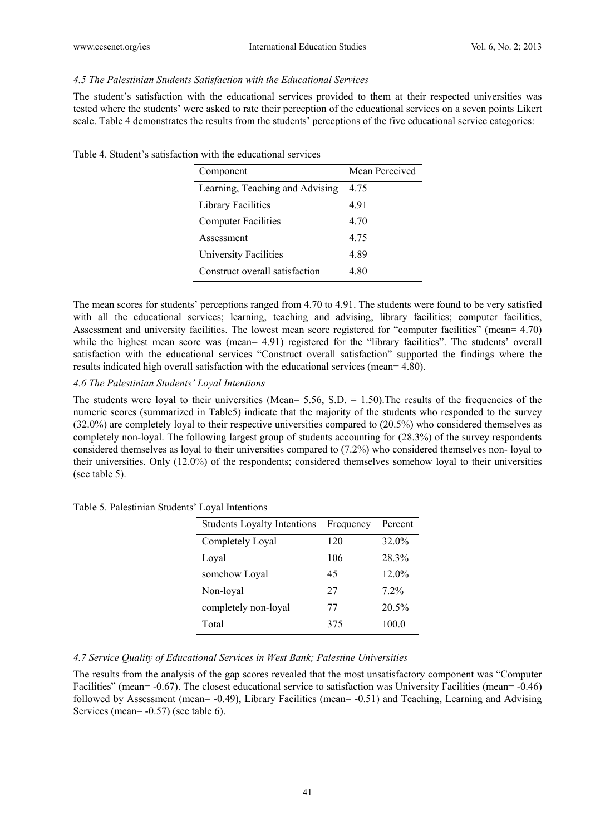## *4.5 The Palestinian Students Satisfaction with the Educational Services*

The student's satisfaction with the educational services provided to them at their respected universities was tested where the students' were asked to rate their perception of the educational services on a seven points Likert scale. Table 4 demonstrates the results from the students' perceptions of the five educational service categories:

Table 4. Student's satisfaction with the educational services

| Component                       | Mean Perceived |
|---------------------------------|----------------|
| Learning, Teaching and Advising | 4.75           |
| Library Facilities              | 491            |
| <b>Computer Facilities</b>      | 4.70           |
| Assessment                      | 4.75           |
| University Facilities           | 489            |
| Construct overall satisfaction  | 4.80           |

The mean scores for students' perceptions ranged from 4.70 to 4.91. The students were found to be very satisfied with all the educational services; learning, teaching and advising, library facilities; computer facilities, Assessment and university facilities. The lowest mean score registered for "computer facilities" (mean= 4.70) while the highest mean score was (mean= 4.91) registered for the "library facilities". The students' overall satisfaction with the educational services "Construct overall satisfaction" supported the findings where the results indicated high overall satisfaction with the educational services (mean= 4.80).

# *4.6 The Palestinian Students' Loyal Intentions*

The students were loyal to their universities (Mean=  $5.56$ , S.D. = 1.50). The results of the frequencies of the numeric scores (summarized in Table5) indicate that the majority of the students who responded to the survey (32.0%) are completely loyal to their respective universities compared to (20.5%) who considered themselves as completely non-loyal. The following largest group of students accounting for (28.3%) of the survey respondents considered themselves as loyal to their universities compared to (7.2%) who considered themselves non- loyal to their universities. Only (12.0%) of the respondents; considered themselves somehow loyal to their universities (see table 5).

| <b>Students Loyalty Intentions</b> | Frequency | Percent |
|------------------------------------|-----------|---------|
| Completely Loyal                   | 120       | 32.0%   |
| Loyal                              | 106       | 28.3%   |
| somehow Loyal                      | 45        | 12.0%   |
| Non-loyal                          | 27        | 72%     |
| completely non-loyal               | 77        | 20.5%   |
| Total                              | 375       | 100.0   |
|                                    |           |         |

Table 5. Palestinian Students' Loyal Intentions

# *4.7 Service Quality of Educational Services in West Bank; Palestine Universities*

The results from the analysis of the gap scores revealed that the most unsatisfactory component was "Computer Facilities" (mean= -0.67). The closest educational service to satisfaction was University Facilities (mean= -0.46) followed by Assessment (mean= -0.49), Library Facilities (mean= -0.51) and Teaching, Learning and Advising Services (mean= -0.57) (see table 6).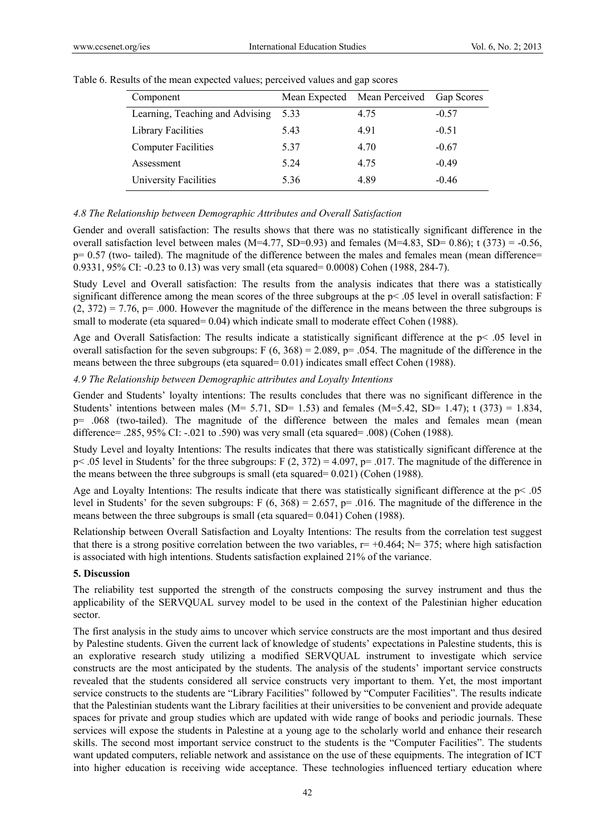| Component                       |      | Mean Expected Mean Perceived Gap Scores |         |
|---------------------------------|------|-----------------------------------------|---------|
| Learning, Teaching and Advising | 5.33 | 4.75                                    | $-0.57$ |
| Library Facilities              | 5.43 | 4.91                                    | $-0.51$ |
| <b>Computer Facilities</b>      | 5.37 | 4.70                                    | $-0.67$ |
| Assessment                      | 5 24 | 4.75                                    | $-0.49$ |
| University Facilities           | 5.36 | 4.89                                    | $-0.46$ |

Table 6. Results of the mean expected values; perceived values and gap scores

## *4.8 The Relationship between Demographic Attributes and Overall Satisfaction*

Gender and overall satisfaction: The results shows that there was no statistically significant difference in the overall satisfaction level between males (M=4.77, SD=0.93) and females (M=4.83, SD= 0.86); t (373) = -0.56, p= 0.57 (two- tailed). The magnitude of the difference between the males and females mean (mean difference= 0.9331, 95% CI: -0.23 to 0.13) was very small (eta squared= 0.0008) Cohen (1988, 284-7).

Study Level and Overall satisfaction: The results from the analysis indicates that there was a statistically significant difference among the mean scores of the three subgroups at the  $p<$  .05 level in overall satisfaction: F  $(2, 372) = 7.76$ , p= .000. However the magnitude of the difference in the means between the three subgroups is small to moderate (eta squared= 0.04) which indicate small to moderate effect Cohen (1988).

Age and Overall Satisfaction: The results indicate a statistically significant difference at the  $p$  < .05 level in overall satisfaction for the seven subgroups: F  $(6, 368) = 2.089$ , p= .054. The magnitude of the difference in the means between the three subgroups (eta squared= 0.01) indicates small effect Cohen (1988).

## *4.9 The Relationship between Demographic attributes and Loyalty Intentions*

Gender and Students' loyalty intentions: The results concludes that there was no significant difference in the Students' intentions between males (M= 5.71, SD= 1.53) and females (M=5.42, SD= 1.47); t (373) = 1.834,  $p=$  .068 (two-tailed). The magnitude of the difference between the males and females mean (mean difference= .285, 95% CI: -.021 to .590) was very small (eta squared= .008) (Cohen (1988).

Study Level and loyalty Intentions: The results indicates that there was statistically significant difference at the  $p$ < .05 level in Students' for the three subgroups: F (2, 372) = 4.097, p= .017. The magnitude of the difference in the means between the three subgroups is small (eta squared= 0.021) (Cohen (1988).

Age and Loyalty Intentions: The results indicate that there was statistically significant difference at the p< .05 level in Students' for the seven subgroups: F  $(6, 368) = 2.657$ , p= .016. The magnitude of the difference in the means between the three subgroups is small (eta squared= 0.041) Cohen (1988).

Relationship between Overall Satisfaction and Loyalty Intentions: The results from the correlation test suggest that there is a strong positive correlation between the two variables,  $r=+0.464$ ; N= 375; where high satisfaction is associated with high intentions. Students satisfaction explained 21% of the variance.

## **5. Discussion**

The reliability test supported the strength of the constructs composing the survey instrument and thus the applicability of the SERVQUAL survey model to be used in the context of the Palestinian higher education sector.

The first analysis in the study aims to uncover which service constructs are the most important and thus desired by Palestine students. Given the current lack of knowledge of students' expectations in Palestine students, this is an explorative research study utilizing a modified SERVQUAL instrument to investigate which service constructs are the most anticipated by the students. The analysis of the students' important service constructs revealed that the students considered all service constructs very important to them. Yet, the most important service constructs to the students are "Library Facilities" followed by "Computer Facilities". The results indicate that the Palestinian students want the Library facilities at their universities to be convenient and provide adequate spaces for private and group studies which are updated with wide range of books and periodic journals. These services will expose the students in Palestine at a young age to the scholarly world and enhance their research skills. The second most important service construct to the students is the "Computer Facilities". The students want updated computers, reliable network and assistance on the use of these equipments. The integration of ICT into higher education is receiving wide acceptance. These technologies influenced tertiary education where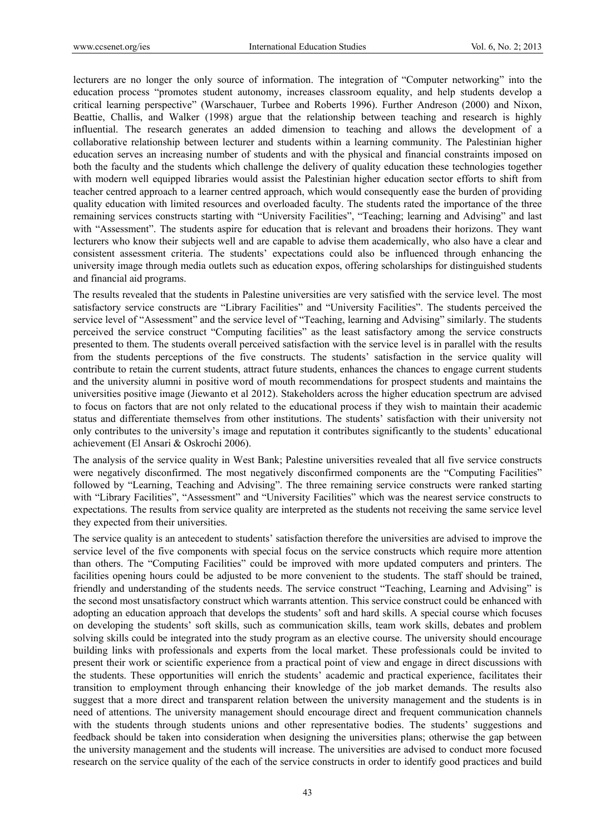lecturers are no longer the only source of information. The integration of "Computer networking" into the education process "promotes student autonomy, increases classroom equality, and help students develop a critical learning perspective" (Warschauer, Turbee and Roberts 1996). Further Andreson (2000) and Nixon, Beattie, Challis, and Walker (1998) argue that the relationship between teaching and research is highly influential. The research generates an added dimension to teaching and allows the development of a collaborative relationship between lecturer and students within a learning community. The Palestinian higher education serves an increasing number of students and with the physical and financial constraints imposed on both the faculty and the students which challenge the delivery of quality education these technologies together with modern well equipped libraries would assist the Palestinian higher education sector efforts to shift from teacher centred approach to a learner centred approach, which would consequently ease the burden of providing quality education with limited resources and overloaded faculty. The students rated the importance of the three remaining services constructs starting with "University Facilities", "Teaching; learning and Advising" and last with "Assessment". The students aspire for education that is relevant and broadens their horizons. They want lecturers who know their subjects well and are capable to advise them academically, who also have a clear and consistent assessment criteria. The students' expectations could also be influenced through enhancing the university image through media outlets such as education expos, offering scholarships for distinguished students and financial aid programs.

The results revealed that the students in Palestine universities are very satisfied with the service level. The most satisfactory service constructs are "Library Facilities" and "University Facilities". The students perceived the service level of "Assessment" and the service level of "Teaching, learning and Advising" similarly. The students perceived the service construct "Computing facilities" as the least satisfactory among the service constructs presented to them. The students overall perceived satisfaction with the service level is in parallel with the results from the students perceptions of the five constructs. The students' satisfaction in the service quality will contribute to retain the current students, attract future students, enhances the chances to engage current students and the university alumni in positive word of mouth recommendations for prospect students and maintains the universities positive image (Jiewanto et al 2012). Stakeholders across the higher education spectrum are advised to focus on factors that are not only related to the educational process if they wish to maintain their academic status and differentiate themselves from other institutions. The students' satisfaction with their university not only contributes to the university's image and reputation it contributes significantly to the students' educational achievement (El Ansari & Oskrochi 2006).

The analysis of the service quality in West Bank; Palestine universities revealed that all five service constructs were negatively disconfirmed. The most negatively disconfirmed components are the "Computing Facilities" followed by "Learning, Teaching and Advising". The three remaining service constructs were ranked starting with "Library Facilities", "Assessment" and "University Facilities" which was the nearest service constructs to expectations. The results from service quality are interpreted as the students not receiving the same service level they expected from their universities.

The service quality is an antecedent to students' satisfaction therefore the universities are advised to improve the service level of the five components with special focus on the service constructs which require more attention than others. The "Computing Facilities" could be improved with more updated computers and printers. The facilities opening hours could be adjusted to be more convenient to the students. The staff should be trained, friendly and understanding of the students needs. The service construct "Teaching, Learning and Advising" is the second most unsatisfactory construct which warrants attention. This service construct could be enhanced with adopting an education approach that develops the students' soft and hard skills. A special course which focuses on developing the students' soft skills, such as communication skills, team work skills, debates and problem solving skills could be integrated into the study program as an elective course. The university should encourage building links with professionals and experts from the local market. These professionals could be invited to present their work or scientific experience from a practical point of view and engage in direct discussions with the students. These opportunities will enrich the students' academic and practical experience, facilitates their transition to employment through enhancing their knowledge of the job market demands. The results also suggest that a more direct and transparent relation between the university management and the students is in need of attentions. The university management should encourage direct and frequent communication channels with the students through students unions and other representative bodies. The students' suggestions and feedback should be taken into consideration when designing the universities plans; otherwise the gap between the university management and the students will increase. The universities are advised to conduct more focused research on the service quality of the each of the service constructs in order to identify good practices and build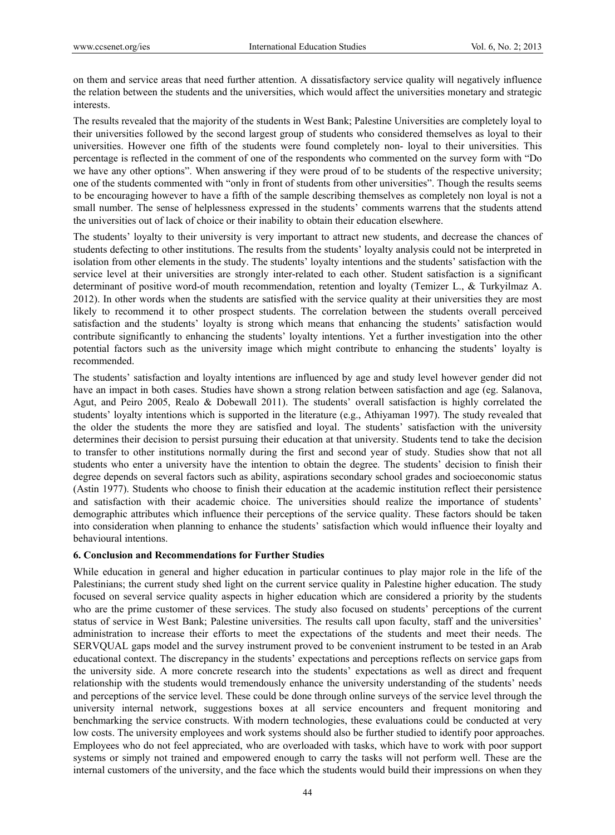on them and service areas that need further attention. A dissatisfactory service quality will negatively influence the relation between the students and the universities, which would affect the universities monetary and strategic interests.

The results revealed that the majority of the students in West Bank; Palestine Universities are completely loyal to their universities followed by the second largest group of students who considered themselves as loyal to their universities. However one fifth of the students were found completely non- loyal to their universities. This percentage is reflected in the comment of one of the respondents who commented on the survey form with "Do we have any other options". When answering if they were proud of to be students of the respective university; one of the students commented with "only in front of students from other universities". Though the results seems to be encouraging however to have a fifth of the sample describing themselves as completely non loyal is not a small number. The sense of helplessness expressed in the students' comments warrens that the students attend the universities out of lack of choice or their inability to obtain their education elsewhere.

The students' loyalty to their university is very important to attract new students, and decrease the chances of students defecting to other institutions. The results from the students' loyalty analysis could not be interpreted in isolation from other elements in the study. The students' loyalty intentions and the students' satisfaction with the service level at their universities are strongly inter-related to each other. Student satisfaction is a significant determinant of positive word-of mouth recommendation, retention and loyalty (Temizer L., & Turkyilmaz A. 2012). In other words when the students are satisfied with the service quality at their universities they are most likely to recommend it to other prospect students. The correlation between the students overall perceived satisfaction and the students' loyalty is strong which means that enhancing the students' satisfaction would contribute significantly to enhancing the students' loyalty intentions. Yet a further investigation into the other potential factors such as the university image which might contribute to enhancing the students' loyalty is recommended.

The students' satisfaction and loyalty intentions are influenced by age and study level however gender did not have an impact in both cases. Studies have shown a strong relation between satisfaction and age (eg. Salanova, Agut, and Peiro 2005, Realo & Dobewall 2011). The students' overall satisfaction is highly correlated the students' loyalty intentions which is supported in the literature (e.g., Athiyaman 1997). The study revealed that the older the students the more they are satisfied and loyal. The students' satisfaction with the university determines their decision to persist pursuing their education at that university. Students tend to take the decision to transfer to other institutions normally during the first and second year of study. Studies show that not all students who enter a university have the intention to obtain the degree. The students' decision to finish their degree depends on several factors such as ability, aspirations secondary school grades and socioeconomic status (Astin 1977). Students who choose to finish their education at the academic institution reflect their persistence and satisfaction with their academic choice. The universities should realize the importance of students' demographic attributes which influence their perceptions of the service quality. These factors should be taken into consideration when planning to enhance the students' satisfaction which would influence their loyalty and behavioural intentions.

# **6. Conclusion and Recommendations for Further Studies**

While education in general and higher education in particular continues to play major role in the life of the Palestinians; the current study shed light on the current service quality in Palestine higher education. The study focused on several service quality aspects in higher education which are considered a priority by the students who are the prime customer of these services. The study also focused on students' perceptions of the current status of service in West Bank; Palestine universities. The results call upon faculty, staff and the universities' administration to increase their efforts to meet the expectations of the students and meet their needs. The SERVQUAL gaps model and the survey instrument proved to be convenient instrument to be tested in an Arab educational context. The discrepancy in the students' expectations and perceptions reflects on service gaps from the university side. A more concrete research into the students' expectations as well as direct and frequent relationship with the students would tremendously enhance the university understanding of the students' needs and perceptions of the service level. These could be done through online surveys of the service level through the university internal network, suggestions boxes at all service encounters and frequent monitoring and benchmarking the service constructs. With modern technologies, these evaluations could be conducted at very low costs. The university employees and work systems should also be further studied to identify poor approaches. Employees who do not feel appreciated, who are overloaded with tasks, which have to work with poor support systems or simply not trained and empowered enough to carry the tasks will not perform well. These are the internal customers of the university, and the face which the students would build their impressions on when they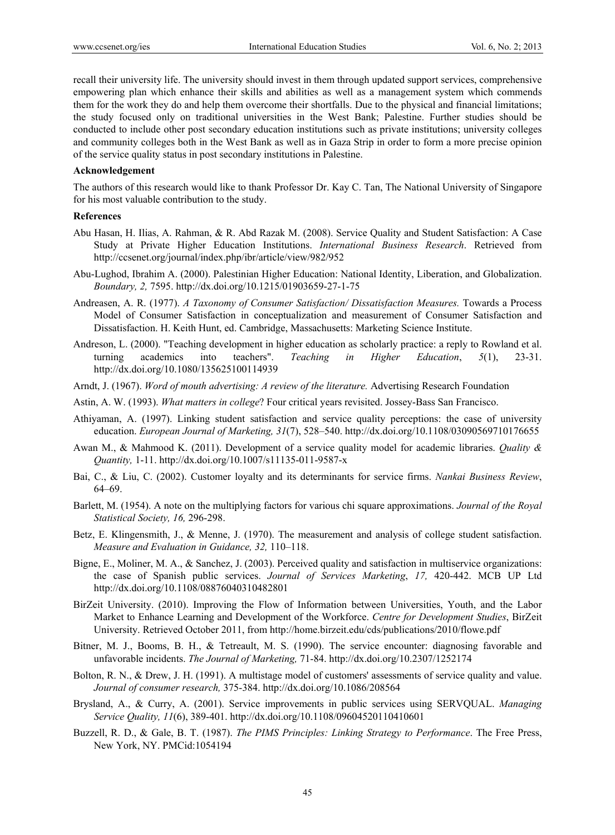recall their university life. The university should invest in them through updated support services, comprehensive empowering plan which enhance their skills and abilities as well as a management system which commends them for the work they do and help them overcome their shortfalls. Due to the physical and financial limitations; the study focused only on traditional universities in the West Bank; Palestine. Further studies should be conducted to include other post secondary education institutions such as private institutions; university colleges and community colleges both in the West Bank as well as in Gaza Strip in order to form a more precise opinion of the service quality status in post secondary institutions in Palestine.

#### **Acknowledgement**

The authors of this research would like to thank Professor Dr. Kay C. Tan, The National University of Singapore for his most valuable contribution to the study.

## **References**

- Abu Hasan, H. Ilias, A. Rahman, & R. Abd Razak M. (2008). Service Quality and Student Satisfaction: A Case Study at Private Higher Education Institutions. *International Business Research*. Retrieved from http://ccsenet.org/journal/index.php/ibr/article/view/982/952
- Abu-Lughod, Ibrahim A. (2000). Palestinian Higher Education: National Identity, Liberation, and Globalization. *Boundary, 2,* 7595. http://dx.doi.org/10.1215/01903659-27-1-75
- Andreasen, A. R. (1977). *A Taxonomy of Consumer Satisfaction/ Dissatisfaction Measures.* Towards a Process Model of Consumer Satisfaction in conceptualization and measurement of Consumer Satisfaction and Dissatisfaction. H. Keith Hunt, ed. Cambridge, Massachusetts: Marketing Science Institute.
- Andreson, L. (2000). "Teaching development in higher education as scholarly practice: a reply to Rowland et al. turning academics into teachers". *Teaching in Higher Education*, *5*(1), 23-31. http://dx.doi.org/10.1080/135625100114939
- Arndt, J. (1967). *Word of mouth advertising: A review of the literature.* Advertising Research Foundation
- Astin, A. W. (1993). *What matters in college*? Four critical years revisited. Jossey-Bass San Francisco.
- Athiyaman, A. (1997). Linking student satisfaction and service quality perceptions: the case of university education. *European Journal of Marketing, 31*(7), 528–540. http://dx.doi.org/10.1108/03090569710176655
- Awan M., & Mahmood K. (2011). Development of a service quality model for academic libraries. *Quality & Quantity,* 1-11. http://dx.doi.org/10.1007/s11135-011-9587-x
- Bai, C., & Liu, C. (2002). Customer loyalty and its determinants for service firms. *Nankai Business Review*, 64–69.
- Barlett, M. (1954). A note on the multiplying factors for various chi square approximations. *Journal of the Royal Statistical Society, 16,* 296-298.
- Betz, E. Klingensmith, J., & Menne, J. (1970). The measurement and analysis of college student satisfaction. *Measure and Evaluation in Guidance, 32,* 110–118.
- Bigne, E., Moliner, M. A., & Sanchez, J. (2003). Perceived quality and satisfaction in multiservice organizations: the case of Spanish public services. *Journal of Services Marketing*, *17,* 420-442. MCB UP Ltd http://dx.doi.org/10.1108/08876040310482801
- BirZeit University. (2010). Improving the Flow of Information between Universities, Youth, and the Labor Market to Enhance Learning and Development of the Workforce. *Centre for Development Studies*, BirZeit University. Retrieved October 2011, from http://home.birzeit.edu/cds/publications/2010/flowe.pdf
- Bitner, M. J., Booms, B. H., & Tetreault, M. S. (1990). The service encounter: diagnosing favorable and unfavorable incidents. *The Journal of Marketing,* 71-84. http://dx.doi.org/10.2307/1252174
- Bolton, R. N., & Drew, J. H. (1991). A multistage model of customers' assessments of service quality and value. *Journal of consumer research,* 375-384. http://dx.doi.org/10.1086/208564
- Brysland, A., & Curry, A. (2001). Service improvements in public services using SERVQUAL. *Managing Service Quality, 11*(6), 389-401. http://dx.doi.org/10.1108/09604520110410601
- Buzzell, R. D., & Gale, B. T. (1987). *The PIMS Principles: Linking Strategy to Performance*. The Free Press, New York, NY. PMCid:1054194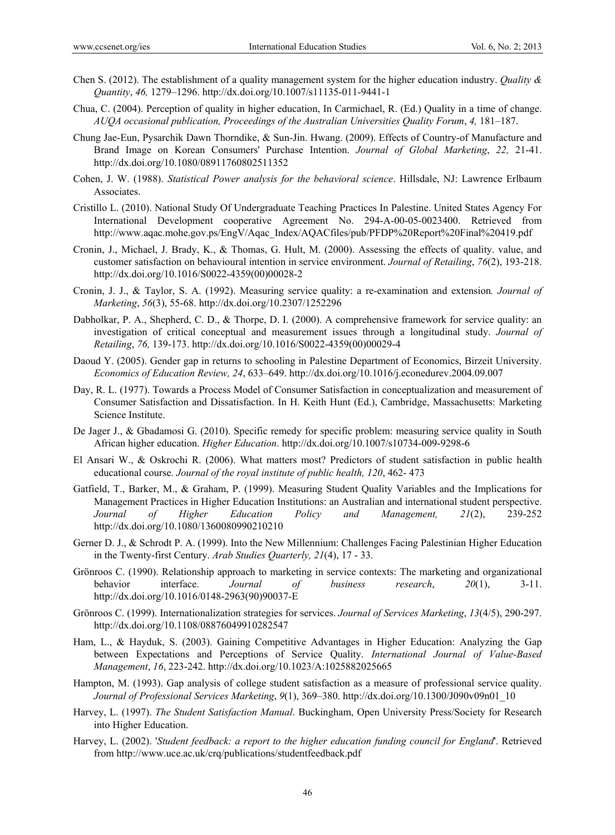- Chen S. (2012). The establishment of a quality management system for the higher education industry. *Quality & Quantity*, *46,* 1279–1296. http://dx.doi.org/10.1007/s11135-011-9441-1
- Chua, C. (2004). Perception of quality in higher education, In Carmichael, R. (Ed.) Quality in a time of change. *AUQA occasional publication, Proceedings of the Australian Universities Quality Forum*, *4,* 181–187.
- Chung Jae-Eun, Pysarchik Dawn Thorndike, & Sun-Jin. Hwang. (2009). Effects of Country-of Manufacture and Brand Image on Korean Consumers' Purchase Intention. *Journal of Global Marketing*, *22,* 21-41. http://dx.doi.org/10.1080/08911760802511352
- Cohen, J. W. (1988). *Statistical Power analysis for the behavioral science*. Hillsdale, NJ: Lawrence Erlbaum Associates.
- Cristillo L. (2010). National Study Of Undergraduate Teaching Practices In Palestine. United States Agency For International Development cooperative Agreement No. 294-A-00-05-0023400. Retrieved from http://www.aqac.mohe.gov.ps/EngV/Aqac\_Index/AQACfiles/pub/PFDP%20Report%20Final%20419.pdf
- Cronin, J., Michael, J. Brady, K., & Thomas, G. Hult, M. (2000). Assessing the effects of quality. value, and customer satisfaction on behavioural intention in service environment. *Journal of Retailing*, *76*(2), 193-218. http://dx.doi.org/10.1016/S0022-4359(00)00028-2
- Cronin, J. J., & Taylor, S. A. (1992). Measuring service quality: a re-examination and extension*. Journal of Marketing*, *56*(3), 55-68. http://dx.doi.org/10.2307/1252296
- Dabholkar, P. A., Shepherd, C. D., & Thorpe, D. I. (2000). A comprehensive framework for service quality: an investigation of critical conceptual and measurement issues through a longitudinal study. *Journal of Retailing*, *76,* 139-173. http://dx.doi.org/10.1016/S0022-4359(00)00029-4
- Daoud Y. (2005). Gender gap in returns to schooling in Palestine Department of Economics, Birzeit University. *Economics of Education Review, 24*, 633–649. http://dx.doi.org/10.1016/j.econedurev.2004.09.007
- Day, R. L. (1977). Towards a Process Model of Consumer Satisfaction in conceptualization and measurement of Consumer Satisfaction and Dissatisfaction. In H. Keith Hunt (Ed.), Cambridge, Massachusetts: Marketing Science Institute.
- De Jager J., & Gbadamosi G. (2010). Specific remedy for specific problem: measuring service quality in South African higher education. *Higher Education*. http://dx.doi.org/10.1007/s10734-009-9298-6
- El Ansari W., & Oskrochi R. (2006). What matters most? Predictors of student satisfaction in public health educational course. *Journal of the royal institute of public health, 120*, 462- 473
- Gatfield, T., Barker, M., & Graham, P. (1999). Measuring Student Quality Variables and the Implications for Management Practices in Higher Education Institutions: an Australian and international student perspective. *Journal of Higher Education Policy and Management, 21*(2), 239-252 http://dx.doi.org/10.1080/1360080990210210
- Gerner D. J., & Schrodt P. A. (1999). Into the New Millennium: Challenges Facing Palestinian Higher Education in the Twenty-first Century. *Arab Studies Quarterly, 21*(4), 17 - 33.
- Grönroos C. (1990). Relationship approach to marketing in service contexts: The marketing and organizational behavior interface. *Journal of business research*, *20*(1), 3-11. http://dx.doi.org/10.1016/0148-2963(90)90037-E
- Grönroos C. (1999). Internationalization strategies for services. *Journal of Services Marketing*, *13*(4/5), 290-297. http://dx.doi.org/10.1108/08876049910282547
- Ham, L., & Hayduk, S. (2003). Gaining Competitive Advantages in Higher Education: Analyzing the Gap between Expectations and Perceptions of Service Quality. *International Journal of Value-Based Management*, *16*, 223-242. http://dx.doi.org/10.1023/A:1025882025665
- Hampton, M. (1993). Gap analysis of college student satisfaction as a measure of professional service quality. *Journal of Professional Services Marketing*, *9*(1), 369–380. http://dx.doi.org/10.1300/J090v09n01\_10
- Harvey, L. (1997). *The Student Satisfaction Manual*. Buckingham, Open University Press/Society for Research into Higher Education.
- Harvey, L. (2002). '*Student feedback: a report to the higher education funding council for England*'. Retrieved from http://www.uce.ac.uk/crq/publications/studentfeedback.pdf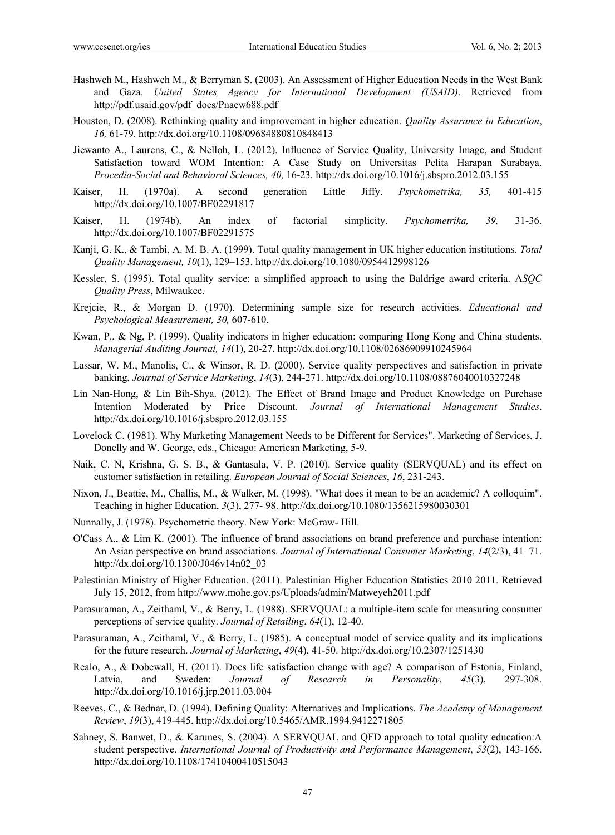- Hashweh M., Hashweh M., & Berryman S. (2003). An Assessment of Higher Education Needs in the West Bank and Gaza. *United States Agency for International Development (USAID)*. Retrieved from http://pdf.usaid.gov/pdf\_docs/Pnacw688.pdf
- Houston, D. (2008). Rethinking quality and improvement in higher education. *Quality Assurance in Education*, *16,* 61-79. http://dx.doi.org/10.1108/09684880810848413
- Jiewanto A., Laurens, C., & Nelloh, L. (2012). Influence of Service Quality, University Image, and Student Satisfaction toward WOM Intention: A Case Study on Universitas Pelita Harapan Surabaya. *Procedia-Social and Behavioral Sciences, 40,* 16-23*.* http://dx.doi.org/10.1016/j.sbspro.2012.03.155
- Kaiser, H. (1970a). A second generation Little Jiffy. *Psychometrika, 35,* 401-415 http://dx.doi.org/10.1007/BF02291817
- Kaiser, H. (1974b). An index of factorial simplicity. *Psychometrika, 39,* 31-36. http://dx.doi.org/10.1007/BF02291575
- Kanji, G. K., & Tambi, A. M. B. A. (1999). Total quality management in UK higher education institutions. *Total Quality Management, 10*(1), 129–153. http://dx.doi.org/10.1080/0954412998126
- Kessler, S. (1995). Total quality service: a simplified approach to using the Baldrige award criteria. A*SQC Quality Press*, Milwaukee.
- Krejcie, R., & Morgan D. (1970). Determining sample size for research activities. *Educational and Psychological Measurement, 30,* 607-610.
- Kwan, P., & Ng, P. (1999). Quality indicators in higher education: comparing Hong Kong and China students. *Managerial Auditing Journal, 14*(1), 20-27. http://dx.doi.org/10.1108/02686909910245964
- Lassar, W. M., Manolis, C., & Winsor, R. D. (2000). Service quality perspectives and satisfaction in private banking, *Journal of Service Marketing*, *14*(3), 244-271. http://dx.doi.org/10.1108/08876040010327248
- Lin Nan-Hong, & Lin Bih-Shya. (2012). The Effect of Brand Image and Product Knowledge on Purchase Intention Moderated by Price Discount*. Journal of International Management Studies*. http://dx.doi.org/10.1016/j.sbspro.2012.03.155
- Lovelock C. (1981). Why Marketing Management Needs to be Different for Services". Marketing of Services, J. Donelly and W. George, eds., Chicago: American Marketing, 5-9.
- Naik, C. N, Krishna, G. S. B., & Gantasala, V. P. (2010). Service quality (SERVQUAL) and its effect on customer satisfaction in retailing. *European Journal of Social Sciences*, *16*, 231-243.
- Nixon, J., Beattie, M., Challis, M., & Walker, M. (1998). "What does it mean to be an academic? A colloquim". Teaching in higher Education, *3*(3), 277- 98. http://dx.doi.org/10.1080/1356215980030301
- Nunnally, J. (1978). Psychometric theory. New York: McGraw- Hill.
- O'Cass A., & Lim K. (2001). The influence of brand associations on brand preference and purchase intention: An Asian perspective on brand associations. *Journal of International Consumer Marketing*, *14*(2/3), 41–71. http://dx.doi.org/10.1300/J046v14n02\_03
- Palestinian Ministry of Higher Education. (2011). Palestinian Higher Education Statistics 2010 2011. Retrieved July 15, 2012, from http://www.mohe.gov.ps/Uploads/admin/Matweyeh2011.pdf
- Parasuraman, A., Zeithaml, V., & Berry, L. (1988). SERVQUAL: a multiple-item scale for measuring consumer perceptions of service quality. *Journal of Retailing*, *64*(1), 12-40.
- Parasuraman, A., Zeithaml, V., & Berry, L. (1985). A conceptual model of service quality and its implications for the future research. *Journal of Marketing*, *49*(4), 41-50. http://dx.doi.org/10.2307/1251430
- Realo, A., & Dobewall, H. (2011). Does life satisfaction change with age? A comparison of Estonia, Finland, Latvia, and Sweden: *Journal of Research in Personality*, *45*(3), 297-308. http://dx.doi.org/10.1016/j.jrp.2011.03.004
- Reeves, C., & Bednar, D. (1994). Defining Quality: Alternatives and Implications. *The Academy of Management Review*, *19*(3), 419-445. http://dx.doi.org/10.5465/AMR.1994.9412271805
- Sahney, S. Banwet, D., & Karunes, S. (2004). A SERVQUAL and QFD approach to total quality education:A student perspective. *International Journal of Productivity and Performance Management*, *53*(2), 143-166. http://dx.doi.org/10.1108/17410400410515043